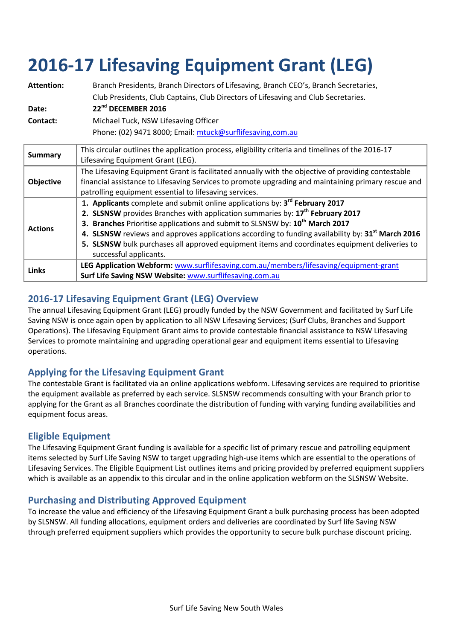# **2016-17 Lifesaving Equipment Grant (LEG)**

| <b>Attention:</b><br>Date:<br>Contact: | Branch Presidents, Branch Directors of Lifesaving, Branch CEO's, Branch Secretaries,<br>Club Presidents, Club Captains, Club Directors of Lifesaving and Club Secretaries.<br>22 <sup>nd</sup> DECEMBER 2016<br>Michael Tuck, NSW Lifesaving Officer<br>Phone: (02) 9471 8000; Email: mtuck@surflifesaving,com.au                                                                                                                                                                                                            |
|----------------------------------------|------------------------------------------------------------------------------------------------------------------------------------------------------------------------------------------------------------------------------------------------------------------------------------------------------------------------------------------------------------------------------------------------------------------------------------------------------------------------------------------------------------------------------|
| <b>Summary</b>                         | This circular outlines the application process, eligibility criteria and timelines of the 2016-17<br>Lifesaving Equipment Grant (LEG).                                                                                                                                                                                                                                                                                                                                                                                       |
| <b>Objective</b>                       | The Lifesaving Equipment Grant is facilitated annually with the objective of providing contestable<br>financial assistance to Lifesaving Services to promote upgrading and maintaining primary rescue and<br>patrolling equipment essential to lifesaving services.                                                                                                                                                                                                                                                          |
| <b>Actions</b>                         | 1. Applicants complete and submit online applications by: 3 <sup>rd</sup> February 2017<br>2. SLSNSW provides Branches with application summaries by: 17 <sup>th</sup> February 2017<br>3. Branches Prioritise applications and submit to SLSNSW by: 10 <sup>th</sup> March 2017<br>4. SLSNSW reviews and approves applications according to funding availability by: 31 <sup>st</sup> March 2016<br>5. SLSNSW bulk purchases all approved equipment items and coordinates equipment deliveries to<br>successful applicants. |
| Links                                  | LEG Application Webform: www.surflifesaving.com.au/members/lifesaving/equipment-grant<br>Surf Life Saving NSW Website: www.surflifesaving.com.au                                                                                                                                                                                                                                                                                                                                                                             |

# **2016-17 Lifesaving Equipment Grant (LEG) Overview**

The annual Lifesaving Equipment Grant (LEG) proudly funded by the NSW Government and facilitated by Surf Life Saving NSW is once again open by application to all NSW Lifesaving Services; (Surf Clubs, Branches and Support Operations). The Lifesaving Equipment Grant aims to provide contestable financial assistance to NSW Lifesaving Services to promote maintaining and upgrading operational gear and equipment items essential to Lifesaving operations.

# **Applying for the Lifesaving Equipment Grant**

The contestable Grant is facilitated via an online applications webform. Lifesaving services are required to prioritise the equipment available as preferred by each service. SLSNSW recommends consulting with your Branch prior to applying for the Grant as all Branches coordinate the distribution of funding with varying funding availabilities and equipment focus areas.

# **Eligible Equipment**

The Lifesaving Equipment Grant funding is available for a specific list of primary rescue and patrolling equipment items selected by Surf Life Saving NSW to target upgrading high-use items which are essential to the operations of Lifesaving Services. The Eligible Equipment List outlines items and pricing provided by preferred equipment suppliers which is available as an appendix to this circular and in the online application webform on the SLSNSW Website.

# **Purchasing and Distributing Approved Equipment**

To increase the value and efficiency of the Lifesaving Equipment Grant a bulk purchasing process has been adopted by SLSNSW. All funding allocations, equipment orders and deliveries are coordinated by Surf life Saving NSW through preferred equipment suppliers which provides the opportunity to secure bulk purchase discount pricing.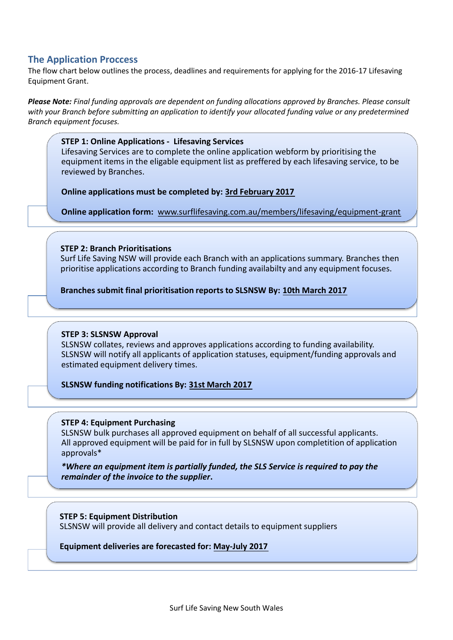### **The Application Proccess**

The flow chart below outlines the process, deadlines and requirements for applying for the 2016-17 Lifesaving Equipment Grant.

*Please Note: Final funding approvals are dependent on funding allocations approved by Branches. Please consult with your Branch before submitting an application to identify your allocated funding value or any predetermined Branch equipment focuses.*

#### **STEP 1: Online Applications - Lifesaving Services**

Lifesaving Services are to complete the online application webform by prioritising the equipment items in the eligable equipment list as preffered by each lifesaving service, to be reviewed by Branches.

**Online applications must be completed by: 3rd February 2017**

**Online application form:** www.surflifesaving.com.au/members/lifesaving/equipment-grant

#### **STEP 2: Branch Prioritisations**

Surf Life Saving NSW will provide each Branch with an applications summary. Branches then prioritise applications according to Branch funding availabilty and any equipment focuses.

**Branches submit final prioritisation reports to SLSNSW By: 10th March 2017**

#### **STEP 3: SLSNSW Approval**

SLSNSW collates, reviews and approves applications according to funding availability. SLSNSW will notify all applicants of application statuses, equipment/funding approvals and estimated equipment delivery times.

#### **SLSNSW funding notifications By: 31st March 2017**

#### **STEP 4: Equipment Purchasing**

SLSNSW bulk purchases all approved equipment on behalf of all successful applicants. All approved equipment will be paid for in full by SLSNSW upon completition of application approvals\*

*\*Where an equipment item is partially funded, the SLS Service is required to pay the remainder of the invoice to the supplier***.** 

**STEP 5: Equipment Distribution** SLSNSW will provide all delivery and contact details to equipment suppliers

**Equipment deliveries are forecasted for: May-July 2017**